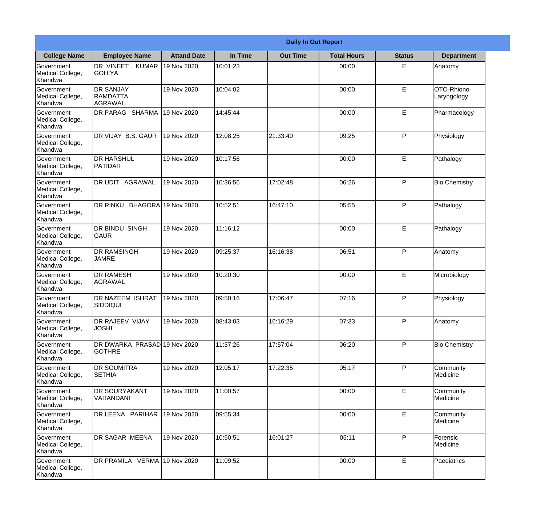|                                           | <b>Daily In Out Report</b>                    |                     |          |                 |                    |               |                            |  |  |
|-------------------------------------------|-----------------------------------------------|---------------------|----------|-----------------|--------------------|---------------|----------------------------|--|--|
| <b>College Name</b>                       | <b>Employee Name</b>                          | <b>Attand Date</b>  | In Time  | <b>Out Time</b> | <b>Total Hours</b> | <b>Status</b> | <b>Department</b>          |  |  |
| Government<br>Medical College,<br>Khandwa | DR VINEET KUMAR<br><b>GOHIYA</b>              | 19 Nov 2020         | 10:01:23 |                 | 00:00              | E             | Anatomy                    |  |  |
| Government<br>Medical College,<br>Khandwa | <b>DR SANJAY</b><br>RAMDATTA<br>AGRAWAL       | 19 Nov 2020         | 10:04:02 |                 | 00:00              | E             | OTO-Rhiono-<br>Laryngology |  |  |
| Government<br>Medical College,<br>Khandwa | DR PARAG SHARMA                               | 19 Nov 2020         | 14:45:44 |                 | 00:00              | E             | Pharmacology               |  |  |
| Government<br>Medical College,<br>Khandwa | DR VIJAY B.S. GAUR                            | 19 Nov 2020         | 12:08:25 | 21:33:40        | 09:25              | P             | Physiology                 |  |  |
| Government<br>Medical College,<br>Khandwa | <b>DR HARSHUL</b><br>PATIDAR                  | 19 Nov 2020         | 10:17:56 |                 | 00:00              | E             | Pathalogy                  |  |  |
| Government<br>Medical College,<br>Khandwa | DR UDIT AGRAWAL                               | 19 Nov 2020         | 10:36:56 | 17:02:48        | 06:26              | P             | <b>Bio Chemistry</b>       |  |  |
| Government<br>Medical College,<br>Khandwa | DR RINKU                                      | BHAGORA 19 Nov 2020 | 10:52:51 | 16:47:10        | 05:55              | P             | Pathalogy                  |  |  |
| Government<br>Medical College,<br>Khandwa | <b>DR BINDU SINGH</b><br><b>GAUR</b>          | 19 Nov 2020         | 11:16:12 |                 | 00:00              | E             | Pathalogy                  |  |  |
| Government<br>Medical College,<br>Khandwa | <b>DR RAMSINGH</b><br><b>JAMRE</b>            | 19 Nov 2020         | 09:25:37 | 16:16:38        | 06:51              | P             | Anatomy                    |  |  |
| Government<br>Medical College,<br>Khandwa | <b>DR RAMESH</b><br>AGRAWAL                   | 19 Nov 2020         | 10:20:30 |                 | 00:00              | E             | Microbiology               |  |  |
| Government<br>Medical College,<br>Khandwa | <b>DR NAZEEM ISHRAT</b><br>SIDDIQUI           | 19 Nov 2020         | 09:50:16 | 17:06:47        | 07:16              | $\mathsf{P}$  | Physiology                 |  |  |
| Government<br>Medical College,<br>Khandwa | <b>DR RAJEEV VIJAY</b><br><b>JOSHI</b>        | 19 Nov 2020         | 08:43:03 | 16:16:29        | 07:33              | P             | Anatomy                    |  |  |
| Government<br>Medical College,<br>Khandwa | DR DWARKA PRASAD 19 Nov 2020<br><b>GOTHRE</b> |                     | 11:37:26 | 17:57:04        | 06:20              | P             | <b>Bio Chemistry</b>       |  |  |
| Government<br>Medical College,<br>Khandwa | <b>DR SOUMITRA</b><br><b>SETHIA</b>           | 19 Nov 2020         | 12:05:17 | 17:22:35        | 05:17              | P             | Community<br>Medicine      |  |  |
| Government<br>Medical College,<br>Khandwa | <b>DR SOURYAKANT</b><br>VARANDANI             | 19 Nov 2020         | 11:00:57 |                 | 00:00              | E             | Community<br>Medicine      |  |  |
| Government<br>Medical College,<br>Khandwa | DR LEENA PARIHAR                              | 19 Nov 2020         | 09:55:34 |                 | 00:00              | E             | Community<br>Medicine      |  |  |
| Government<br>Medical College,<br>Khandwa | DR SAGAR MEENA                                | 19 Nov 2020         | 10:50:51 | 16:01:27        | 05:11              | P             | Forensic<br>Medicine       |  |  |
| Government<br>Medical College,<br>Khandwa | DR PRAMILA VERMA 19 Nov 2020                  |                     | 11:09:52 |                 | 00:00              | E             | Paediatrics                |  |  |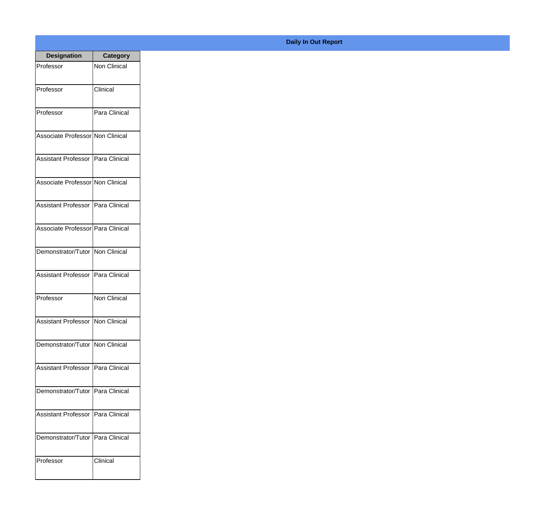| <b>Designation</b>                  | <b>Category</b>     |
|-------------------------------------|---------------------|
| Professor                           | <b>Non Clinical</b> |
| Professor                           | Clinical            |
| Professor                           | Para Clinical       |
| Associate Professor Non Clinical    |                     |
| <b>Assistant Professor</b>          | IPara Clinical      |
| Associate Professor Non Clinical    |                     |
| Assistant Professor   Para Clinical |                     |
| Associate Professor   Para Clinical |                     |
| Demonstrator/Tutor   Non Clinical   |                     |
| <b>Assistant Professor</b>          | Para Clinical       |
| Professor                           | <b>Non Clinical</b> |
| Assistant Professor   Non Clinical  |                     |
| Demonstrator/Tutor   Non Clinical   |                     |
| Assistant Professor   Para Clinical |                     |
| Demonstrator/Tutor   Para Clinical  |                     |
| <b>Assistant Professor</b>          | Para Clinical       |
| Demonstrator/Tutor                  | Para Clinical       |
| Professor                           | Clinical            |

**Daily In Out Report**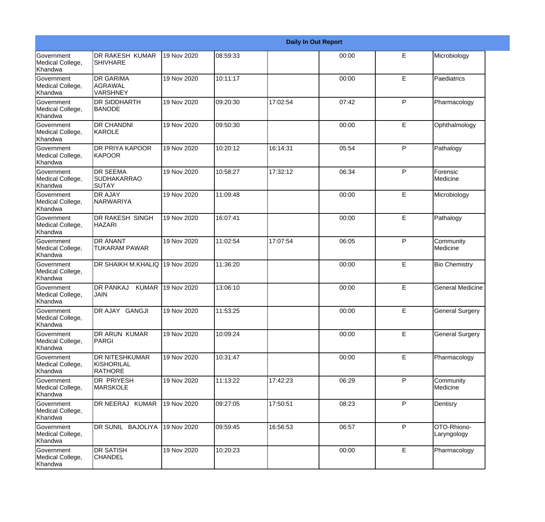|                                                  |                                                       | <b>Daily In Out Report</b> |          |          |       |              |                            |  |  |
|--------------------------------------------------|-------------------------------------------------------|----------------------------|----------|----------|-------|--------------|----------------------------|--|--|
| Government<br>Medical College,<br>Khandwa        | <b>DR RAKESH KUMAR</b><br><b>SHIVHARE</b>             | 19 Nov 2020                | 08:59:33 |          | 00:00 | Е            | Microbiology               |  |  |
| Government<br>Medical College,<br>Khandwa        | <b>DR GARIMA</b><br>AGRAWAL<br><b>VARSHNEY</b>        | 19 Nov 2020                | 10:11:17 |          | 00:00 | E            | Paediatrics                |  |  |
| <b>Government</b><br>Medical College,<br>Khandwa | <b>DR SIDDHARTH</b><br><b>BANODE</b>                  | 19 Nov 2020                | 09:20:30 | 17:02:54 | 07:42 | P            | Pharmacology               |  |  |
| Government<br>Medical College,<br>Khandwa        | <b>DR CHANDNI</b><br>KAROLE                           | 19 Nov 2020                | 09:50:30 |          | 00:00 | E            | Ophthalmology              |  |  |
| Government<br>Medical College,<br>Khandwa        | <b>DR PRIYA KAPOOR</b><br>KAPOOR                      | 19 Nov 2020                | 10:20:12 | 16:14:31 | 05:54 | P            | Pathalogy                  |  |  |
| Government<br>Medical College,<br>Khandwa        | <b>DR SEEMA</b><br><b>SUDHAKARRAO</b><br><b>SUTAY</b> | 19 Nov 2020                | 10:58:27 | 17:32:12 | 06:34 | $\mathsf{P}$ | Forensic<br>Medicine       |  |  |
| Government<br>Medical College,<br>Khandwa        | <b>DR AJAY</b><br>NARWARIYA                           | 19 Nov 2020                | 11:09:48 |          | 00:00 | E            | Microbiology               |  |  |
| Government<br>Medical College,<br>Khandwa        | DR RAKESH SINGH<br><b>HAZARI</b>                      | 19 Nov 2020                | 16:07:41 |          | 00:00 | E            | Pathalogy                  |  |  |
| Government<br>Medical College,<br>Khandwa        | <b>DR ANANT</b><br>TUKARAM PAWAR                      | 19 Nov 2020                | 11:02:54 | 17:07:54 | 06:05 | $\mathsf{P}$ | Community<br>Medicine      |  |  |
| <b>Government</b><br>Medical College,<br>Khandwa | DR SHAIKH M.KHALIQ 19 Nov 2020                        |                            | 11:36:20 |          | 00:00 | E            | <b>Bio Chemistry</b>       |  |  |
| <b>Government</b><br>Medical College,<br>Khandwa | <b>DR PANKAJ</b><br><b>KUMAR</b><br>JAIN              | 19 Nov 2020                | 13:06:10 |          | 00:00 | E            | <b>General Medicine</b>    |  |  |
| Government<br>Medical College,<br>Khandwa        | DR AJAY GANGJI                                        | 19 Nov 2020                | 11:53:25 |          | 00:00 | E            | <b>General Surgery</b>     |  |  |
| Government<br>Medical College,<br>Khandwa        | DR ARUN KUMAR<br>PARGI                                | 19 Nov 2020                | 10:09:24 |          | 00:00 | E            | <b>General Surgery</b>     |  |  |
| <b>Government</b><br>Medical College,<br>Khandwa | <b>DR NITESHKUMAR</b><br>KISHORILAL<br><b>RATHORE</b> | 19 Nov 2020                | 10:31:47 |          | 00:00 | E            | Pharmacology               |  |  |
| Government<br>Medical College,<br>Khandwa        | <b>DR PRIYESH</b><br><b>MARSKOLE</b>                  | 19 Nov 2020                | 11:13:22 | 17:42:23 | 06:29 | P            | Community<br>Medicine      |  |  |
| Government<br>Medical College,<br>Khandwa        | DR NEERAJ KUMAR                                       | 19 Nov 2020                | 09:27:05 | 17:50:51 | 08:23 | P            | Dentisry                   |  |  |
| Government<br>Medical College,<br>Khandwa        | DR SUNIL BAJOLIYA                                     | 19 Nov 2020                | 09:59:45 | 16:56:53 | 06:57 | $\mathsf{P}$ | OTO-Rhiono-<br>Laryngology |  |  |
| Government<br>Medical College,<br>Khandwa        | <b>DR SATISH</b><br><b>CHANDEL</b>                    | 19 Nov 2020                | 10:20:23 |          | 00:00 | E            | Pharmacology               |  |  |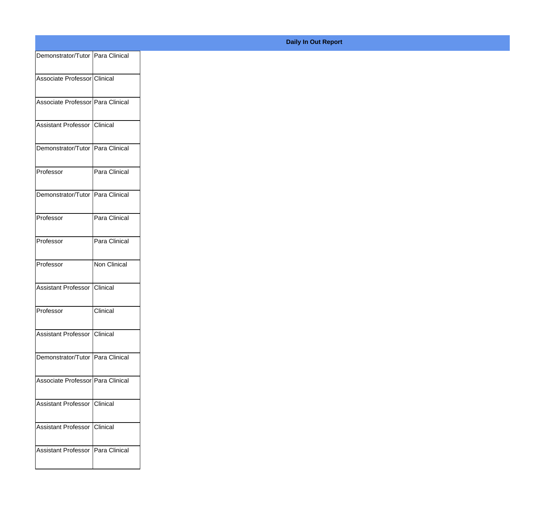| Demonstrator/Tutor Para Clinical   |               |
|------------------------------------|---------------|
| Associate Professor Clinical       |               |
|                                    |               |
| Associate Professor Para Clinical  |               |
| Assistant Professor Clinical       |               |
| Demonstrator/Tutor   Para Clinical |               |
| Professor                          | Para Clinical |
| Demonstrator/Tutor Para Clinical   |               |
|                                    |               |
| Professor                          | Para Clinical |
| Professor                          | Para Clinical |
| Professor                          | Non Clinical  |
| Assistant Professor Clinical       |               |
| Professor                          | Clinical      |
|                                    |               |
| Assistant Professor Clinical       |               |
| Demonstrator/Tutor Para Clinical   |               |
| Associate Professor Para Clinical  |               |
| Assistant Professor Clinical       |               |
|                                    |               |
| Assistant Professor Clinical       |               |
| Assistant Professor Para Clinical  |               |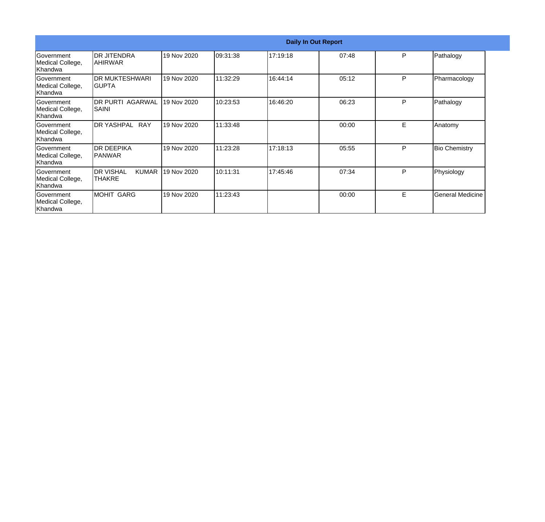| Government<br>Medical College,<br>lKhandwa        | <b>Daily In Out Report</b>                 |             |           |          |       |    |                         |  |
|---------------------------------------------------|--------------------------------------------|-------------|-----------|----------|-------|----|-------------------------|--|
|                                                   | IDR JITENDRA<br>IAHIRWAR                   | 19 Nov 2020 | 109:31:38 | 17:19:18 | 07:48 | P  | Pathalogy               |  |
| Government<br>Medical College,<br>Khandwa         | IDR MUKTESHWARI<br>IGUPTA                  | 19 Nov 2020 | 11:32:29  | 16:44:14 | 05:12 | P  | Pharmacology            |  |
| Government<br>Medical College,<br>Khandwa         | <b>DR PURTI AGARWAL</b><br>SAINI           | 19 Nov 2020 | 10:23:53  | 16:46:20 | 06:23 | P  | Pathalogy               |  |
| <b>Government</b><br>Medical College,<br>Khandwa  | IDR YASHPAL<br><b>RAY</b>                  | 19 Nov 2020 | 11:33:48  |          | 00:00 | E  | Anatomy                 |  |
| Government<br>Medical College,<br>Khandwa         | IDR DEEPIKA<br>IPANWAR                     | 19 Nov 2020 | 11:23:28  | 17:18:13 | 05:55 | P  | <b>Bio Chemistry</b>    |  |
| <b>IGovernment</b><br>Medical College,<br>Khandwa | <b>DR VISHAL</b><br><b>KUMAR</b><br>THAKRE | 19 Nov 2020 | 10:11:31  | 17:45:46 | 07:34 | P  | Physiology              |  |
| <b>IGovernment</b><br>Medical College,<br>Khandwa | MOHIT GARG                                 | 19 Nov 2020 | 11:23:43  |          | 00:00 | E. | <b>General Medicine</b> |  |